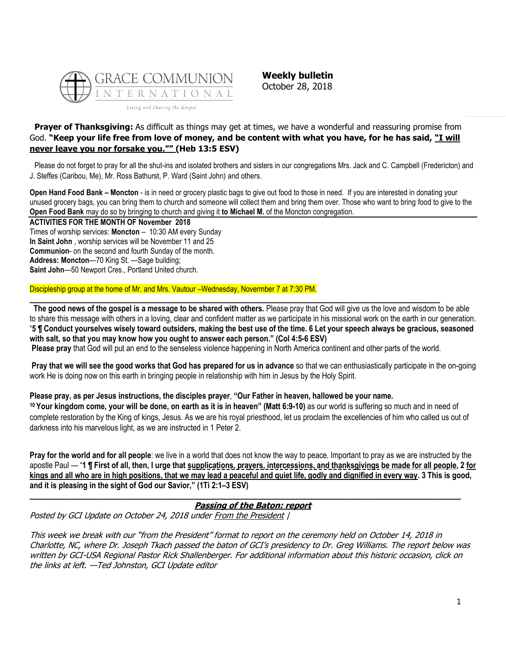

**Weekly bulletin** October 28, 2018

# **Prayer of Thanksgiving:** As difficult as things may get at times, we have a wonderful and reassuring promise from God. **"Keep your life free from love of money, and be content with what you have, for he has said, "I will never leave you nor forsake you."" (Heb 13:5 ESV)**

Please do not forget to pray for all the shut-ins and isolated brothers and sisters in our congregations Mrs. Jack and C. Campbell (Fredericton) and J. Steffes (Caribou, Me), Mr. Ross Bathurst, P. Ward (Saint John) and others.

**Open Hand Food Bank – Moncton** - is in need or grocery plastic bags to give out food to those in need. If you are interested in donating your unused grocery bags, you can bring them to church and someone will collect them and bring them over. Those who want to bring food to give to the **Open Food Bank** may do so by bringing to church and giving it **to Michael M.** of the Moncton congregation.

**ACTIVITIES FOR THE MONTH OF November 2018** Times of worship services: **Moncton** – 10:30 AM every Sunday **In Saint John** , worship services will be November 11 and 25 **Communion**- on the second and fourth Sunday of the month. **Address: Moncton**—70 King St. —Sage building; **Saint John**—50 Newport Cres., Portland United church.

Discipleship group at the home of Mr. and Mrs. Vautour –Wednesday, Novermber 7 at 7:30 PM.

**The good news of the gospel is a message to be shared with others.** Please pray that God will give us the love and wisdom to be able to share this message with others in a loving, clear and confident matter as we participate in his missional work on the earth in our generation. "**5 ¶ Conduct yourselves wisely toward outsiders, making the best use of the time. 6 Let your speech always be gracious, seasoned with salt, so that you may know how you ought to answer each person." (Col 4:5-6 ESV)**

**Please pray** that God will put an end to the senseless violence happening in North America continent and other parts of the world.

**\_\_\_\_\_\_\_\_\_\_\_\_\_\_\_\_\_\_\_\_\_\_\_\_\_\_\_\_\_\_\_\_\_\_\_\_\_\_\_\_\_\_\_\_\_\_\_\_\_\_\_\_\_\_\_\_\_\_\_\_\_\_\_\_\_\_\_\_\_\_\_\_\_\_\_\_\_\_**

**Pray that we will see the good works that God has prepared for us in advance** so that we can enthusiastically participate in the on-going work He is doing now on this earth in bringing people in relationship with him in Jesus by the Holy Spirit.

## **Please pray, as per Jesus instructions, the disciples prayer**, **"Our Father in heaven, hallowed be your name.**

**<sup>10</sup> Your kingdom come, your will be done, on earth as it is in heaven" (Matt 6:9-10)** as our world is suffering so much and in need of complete restoration by the King of kings, Jesus. As we are his royal priesthood, let us proclaim the excellencies of him who called us out of darkness into his marvelous light, as we are instructed in 1 Peter 2.

**Pray for the world and for all people**: we live in a world that does not know the way to peace. Important to pray as we are instructed by the apostle Paul — "**1 ¶ First of all, then, I urge that supplications, prayers, intercessions, and thanksgivings be made for all people, 2 for kings and all who are in high positions, that we may lead a peaceful and quiet life, godly and dignified in every way. 3 This is good, and it is pleasing in the sight of God our Savior," (1Ti 2:1–3 ESV)**

## **[Passing of the Baton: report](https://update.gci.org/2018/10/passing-of-the-baton-report/)**

**\_\_\_\_\_\_\_\_\_\_\_\_\_\_\_\_\_\_\_\_\_\_\_\_\_\_\_\_\_\_\_\_\_\_\_\_\_\_\_\_\_\_\_\_\_\_\_\_\_\_\_\_\_\_\_\_\_\_\_\_\_\_\_\_\_\_\_\_\_\_\_\_\_\_\_\_\_\_\_\_\_\_**

Posted by GCI Update on October 24, 2018 under [From the President](https://update.gci.org/category/president/) |

This week we break with our "from the President" format to report on the ceremony held on October 14, 2018 in Charlotte, NC, where Dr. Joseph Tkach passed the baton of GCI's presidency to Dr. Greg Williams. The report below was written by GCI-USA Regional Pastor Rick Shallenberger. For additional information about this historic occasion, click on the links at left. —Ted Johnston, GCI Update editor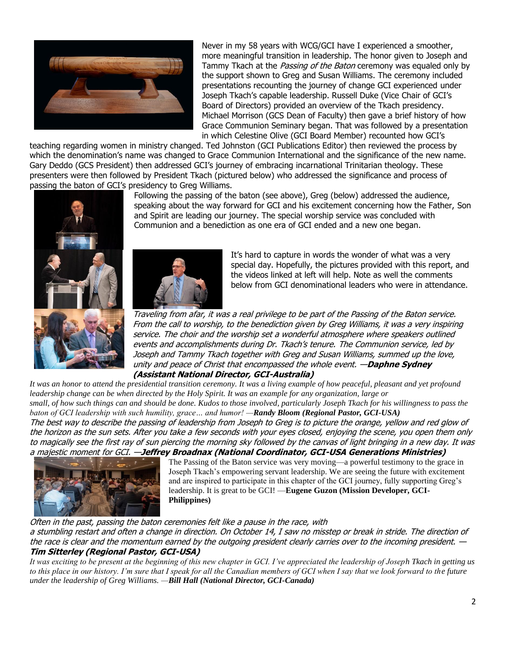

Never in my 58 years with WCG/GCI have I experienced a smoother, more meaningful transition in leadership. The honor given to Joseph and Tammy Tkach at the *Passing of the Baton* ceremony was equaled only by the support shown to Greg and Susan Williams. The ceremony included presentations recounting the journey of change GCI experienced under Joseph Tkach's capable leadership. Russell Duke (Vice Chair of GCI's Board of Directors) provided an overview of the Tkach presidency. Michael Morrison (GCS Dean of Faculty) then gave a brief history of how Grace Communion Seminary began. That was followed by a presentation in which Celestine Olive (GCI Board Member) recounted how GCI's

teaching regarding women in ministry changed. Ted Johnston (GCI Publications Editor) then reviewed the process by which the denomination's name was changed to Grace Communion International and the significance of the new name. Gary Deddo (GCS President) then addressed GCI's journey of embracing incarnational Trinitarian theology. These presenters were then followed by President Tkach (pictured below) who addressed the significance and process of passing the baton of GCI's presidency to Greg Williams.



Following the passing of the baton (see above), Greg (below) addressed the audience, speaking about the way forward for GCI and his excitement concerning how the Father, Son and Spirit are leading our journey. The special worship service was concluded with Communion and a benediction as one era of GCI ended and a new one began.



It's hard to capture in words the wonder of what was a very special day. Hopefully, the pictures provided with this report, and the videos linked at left will help. Note as well the comments below from GCI denominational leaders who were in attendance.

Traveling from afar, it was a real privilege to be part of the Passing of the Baton service. From the call to worship, to the benediction given by Greg Williams, it was a very inspiring service. The choir and the worship set a wonderful atmosphere where speakers outlined events and accomplishments during Dr. Tkach's tenure. The Communion service, led by Joseph and Tammy Tkach together with Greg and Susan Williams, summed up the love, unity and peace of Christ that encompassed the whole event. —**Daphne Sydney (Assistant National Director, GCI-Australia)**

*It was an honor to attend the presidential transition ceremony. It was a living example of how peaceful, pleasant and yet profound leadership change can be when directed by the Holy Spirit. It was an example for any organization, large or small, of how such things can and should be done. Kudos to those involved, particularly Joseph Tkach for his willingness to pass the baton of GCI leadership with such humility, grace… and humor! —Randy Bloom (Regional Pastor, GCI-USA)* The best way to describe the passing of leadership from Joseph to Greg is to picture the orange, yellow and red glow of

the horizon as the sun sets. After you take a few seconds with your eyes closed, enjoying the scene, you open them only to magically see the first ray of sun piercing the morning sky followed by the canvas of light bringing in a new day. It was a majestic moment for GCI. —**Jeffrey Broadnax (National Coordinator, GCI-USA Generations Ministries)**



The Passing of the Baton service was very moving—a powerful testimony to the grace in Joseph Tkach's empowering servant leadership. We are seeing the future with excitement and are inspired to participate in this chapter of the GCI journey, fully supporting Greg's leadership. It is great to be GCI! —**Eugene Guzon (Mission Developer, GCI-Philippines)**

## Often in the past, passing the baton ceremonies felt like a pause in the race, with

a stumbling restart and often a change in direction. On October 14, I saw no misstep or break in stride. The direction of the race is clear and the momentum earned by the outgoing president clearly carries over to the incoming president. — **Tim Sitterley (Regional Pastor, GCI-USA)**

*It was exciting to be present at the beginning of this new chapter in GCI. I've appreciated the leadership of Joseph Tkach in getting us to this place in our history. I'm sure that I speak for all the Canadian members of GCI when I say that we look forward to the future under the leadership of Greg Williams. —Bill Hall (National Director, GCI-Canada)*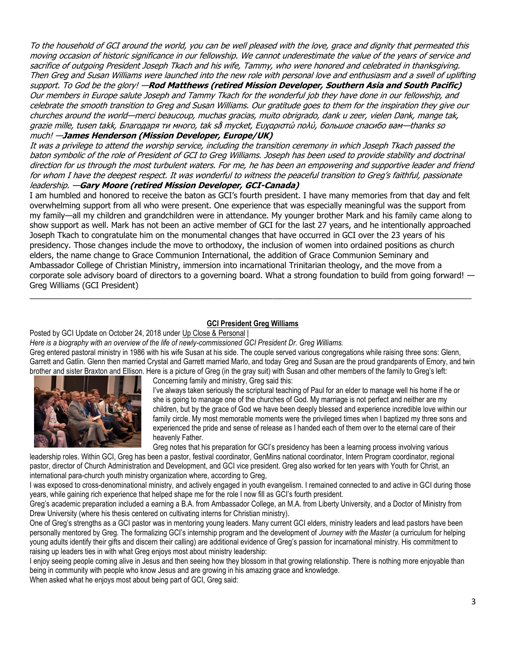To the household of GCI around the world, you can be well pleased with the love, grace and dignity that permeated this moving occasion of historic significance in our fellowship. We cannot underestimate the value of the years of service and sacrifice of outgoing President Joseph Tkach and his wife, Tammy, who were honored and celebrated in thanksgiving. Then Greg and Susan Williams were launched into the new role with personal love and enthusiasm and a swell of uplifting support. To God be the glory! —**Rod Matthews (retired Mission Developer, Southern Asia and South Pacific)** Our members in Europe salute Joseph and Tammy Tkach for the wonderful job they have done in our fellowship, and celebrate the smooth transition to Greg and Susan Williams. Our gratitude goes to them for the inspiration they give our churches around the world—merci beaucoup, muchas gracias, muito obrigrado, dank u zeer, vielen Dank, mange tak, grazie mille, tusen takk, Благодаря ти много, tak så mycket, Ευχαριστώ πολύ, большое спасибо вам—thanks so much! —**James Henderson (Mission Developer, Europe/UK)**

It was a privilege to attend the worship service, including the transition ceremony in which Joseph Tkach passed the baton symbolic of the role of President of GCI to Greg Williams. Joseph has been used to provide stability and doctrinal direction for us through the most turbulent waters. For me, he has been an empowering and supportive leader and friend for whom I have the deepest respect. It was wonderful to witness the peaceful transition to Greg's faithful, passionate leadership. —**Gary Moore (retired Mission Developer, GCI-Canada)**

I am humbled and honored to receive the baton as GCI's fourth president. I have many memories from that day and felt overwhelming support from all who were present. One experience that was especially meaningful was the support from my family—all my children and grandchildren were in attendance. My younger brother Mark and his family came along to show support as well. Mark has not been an active member of GCI for the last 27 years, and he intentionally approached Joseph Tkach to congratulate him on the monumental changes that have occurred in GCI over the 23 years of his presidency. Those changes include the move to orthodoxy, the inclusion of women into ordained positions as church elders, the name change to Grace Communion International, the addition of Grace Communion Seminary and Ambassador College of Christian Ministry, immersion into incarnational Trinitarian theology, and the move from a corporate sole advisory board of directors to a governing board. What a strong foundation to build from going forward! — Greg Williams (GCI President)

### **[GCI President Greg Williams](https://update.gci.org/2018/10/gci-president-greg-williams/)**

 $\_$  ,  $\_$  ,  $\_$  ,  $\_$  ,  $\_$  ,  $\_$  ,  $\_$  ,  $\_$  ,  $\_$  ,  $\_$  ,  $\_$  ,  $\_$  ,  $\_$  ,  $\_$  ,  $\_$  ,  $\_$  ,  $\_$  ,  $\_$  ,  $\_$  ,  $\_$  ,  $\_$  ,  $\_$  ,  $\_$  ,  $\_$  ,  $\_$  ,  $\_$  ,  $\_$  ,  $\_$  ,  $\_$  ,  $\_$  ,  $\_$  ,  $\_$  ,  $\_$  ,  $\_$  ,  $\_$  ,  $\_$  ,  $\_$  ,

Posted by GCI Update on October 24, 2018 under [Up Close & Personal](https://update.gci.org/category/profiles/) |

*Here is a biography with an overview of the life of newly-commissioned GCI President Dr. Greg Williams.*

Greg entered pastoral ministry in 1986 with his wife Susan at his side. The couple served various congregations while raising three sons: Glenn, Garrett and Gatlin. Glenn then married Crystal and Garrett married Marlo, and today Greg and Susan are the proud grandparents of Emory, and twin b[rother and sister Braxton and Ellison](https://update.gci.org/wp-content/uploads/2018/10/Williams-Family.jpg). Here is a picture of Greg (in the gray suit) with Susan and other members of the family to Greg's left:



Concerning family and ministry, Greg said this:

I've always taken seriously the scriptural teaching of Paul for an elder to manage well his home if he or she is going to manage one of the churches of God. My marriage is not perfect and neither are my children, but by the grace of God we have been deeply blessed and experience incredible love within our family circle. My most memorable moments were the privileged times when I baptized my three sons and experienced the pride and sense of release as I handed each of them over to the eternal care of their heavenly Father.

Greg notes that his preparation for GCI's presidency has been a learning process involving various

leadership roles. Within GCI, Greg has been a pastor, festival coordinator, GenMins national coordinator, Intern Program coordinator, regional pastor, director of Church Administration and Development, and GCI vice president. Greg also worked for ten years with Youth for Christ, an international para-church youth ministry organization where, according to Greg,

I was exposed to cross-denominational ministry, and actively engaged in youth evangelism. I remained connected to and active in GCI during those years, while gaining rich experience that helped shape me for the role I now fill as GCI's fourth president.

Greg's academic preparation included a earning a B.A. from Ambassador College, an M.A. from Liberty University, and a Doctor of Ministry from Drew University (where his thesis centered on cultivating interns for Christian ministry).

One of Greg's strengths as a GCI pastor was in mentoring young leaders. Many current GCI elders, ministry leaders and lead pastors have been personally mentored by Greg. The formalizing GCI's internship program and the development of *Journey with the Master* (a curriculum for helping young adults identify their gifts and discern their calling) are additional evidence of Greg's passion for incarnational ministry. His commitment to raising up leaders ties in with what Greg enjoys most about ministry leadership:

I eniov seeing people coming alive in Jesus and then seeing how they blossom in that growing relationship. There is nothing more enjoyable than being in community with people who know Jesus and are growing in his amazing grace and knowledge.

When asked what he enjoys most about being part of GCI, Greg said: